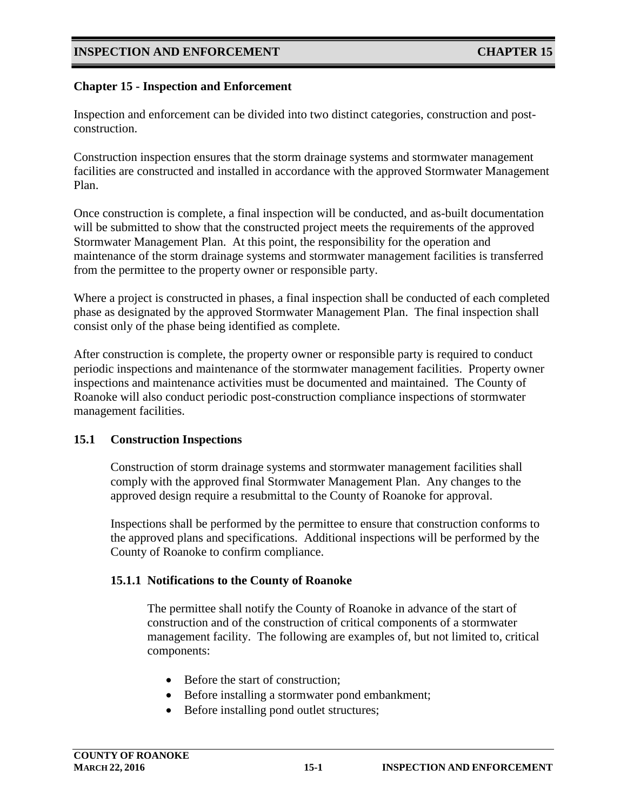### **Chapter 15 - Inspection and Enforcement**

Inspection and enforcement can be divided into two distinct categories, construction and postconstruction.

Construction inspection ensures that the storm drainage systems and stormwater management facilities are constructed and installed in accordance with the approved Stormwater Management Plan.

Once construction is complete, a final inspection will be conducted, and as-built documentation will be submitted to show that the constructed project meets the requirements of the approved Stormwater Management Plan. At this point, the responsibility for the operation and maintenance of the storm drainage systems and stormwater management facilities is transferred from the permittee to the property owner or responsible party.

Where a project is constructed in phases, a final inspection shall be conducted of each completed phase as designated by the approved Stormwater Management Plan. The final inspection shall consist only of the phase being identified as complete.

After construction is complete, the property owner or responsible party is required to conduct periodic inspections and maintenance of the stormwater management facilities. Property owner inspections and maintenance activities must be documented and maintained. The County of Roanoke will also conduct periodic post-construction compliance inspections of stormwater management facilities.

#### **15.1 Construction Inspections**

Construction of storm drainage systems and stormwater management facilities shall comply with the approved final Stormwater Management Plan. Any changes to the approved design require a resubmittal to the County of Roanoke for approval.

Inspections shall be performed by the permittee to ensure that construction conforms to the approved plans and specifications. Additional inspections will be performed by the County of Roanoke to confirm compliance.

#### **15.1.1 Notifications to the County of Roanoke**

The permittee shall notify the County of Roanoke in advance of the start of construction and of the construction of critical components of a stormwater management facility. The following are examples of, but not limited to, critical components:

- Before the start of construction:
- Before installing a stormwater pond embankment;
- Before installing pond outlet structures;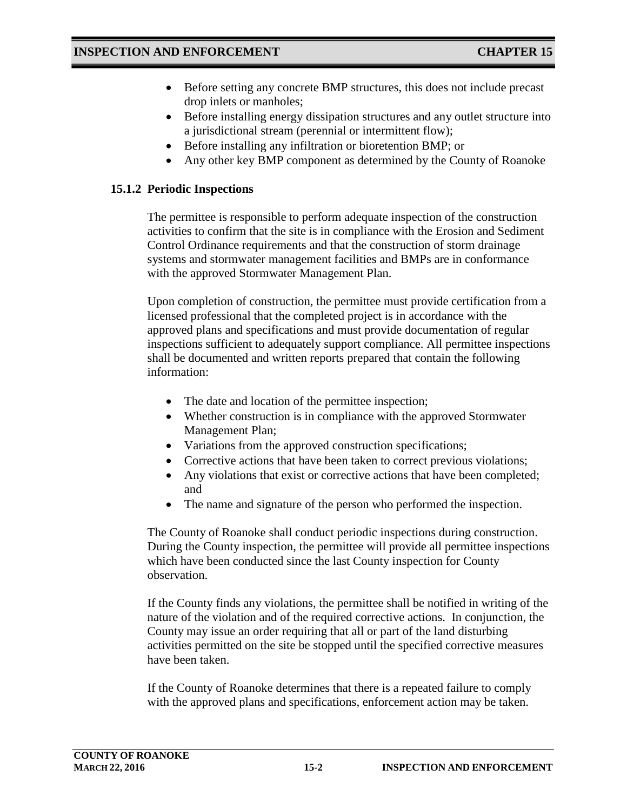- Before setting any concrete BMP structures, this does not include precast drop inlets or manholes;
- Before installing energy dissipation structures and any outlet structure into a jurisdictional stream (perennial or intermittent flow);
- Before installing any infiltration or bioretention BMP; or
- Any other key BMP component as determined by the County of Roanoke

## **15.1.2 Periodic Inspections**

The permittee is responsible to perform adequate inspection of the construction activities to confirm that the site is in compliance with the Erosion and Sediment Control Ordinance requirements and that the construction of storm drainage systems and stormwater management facilities and BMPs are in conformance with the approved Stormwater Management Plan.

Upon completion of construction, the permittee must provide certification from a licensed professional that the completed project is in accordance with the approved plans and specifications and must provide documentation of regular inspections sufficient to adequately support compliance. All permittee inspections shall be documented and written reports prepared that contain the following information:

- The date and location of the permittee inspection;
- Whether construction is in compliance with the approved Stormwater Management Plan;
- Variations from the approved construction specifications;
- Corrective actions that have been taken to correct previous violations;
- Any violations that exist or corrective actions that have been completed; and
- The name and signature of the person who performed the inspection.

The County of Roanoke shall conduct periodic inspections during construction. During the County inspection, the permittee will provide all permittee inspections which have been conducted since the last County inspection for County observation.

If the County finds any violations, the permittee shall be notified in writing of the nature of the violation and of the required corrective actions. In conjunction, the County may issue an order requiring that all or part of the land disturbing activities permitted on the site be stopped until the specified corrective measures have been taken.

If the County of Roanoke determines that there is a repeated failure to comply with the approved plans and specifications, enforcement action may be taken.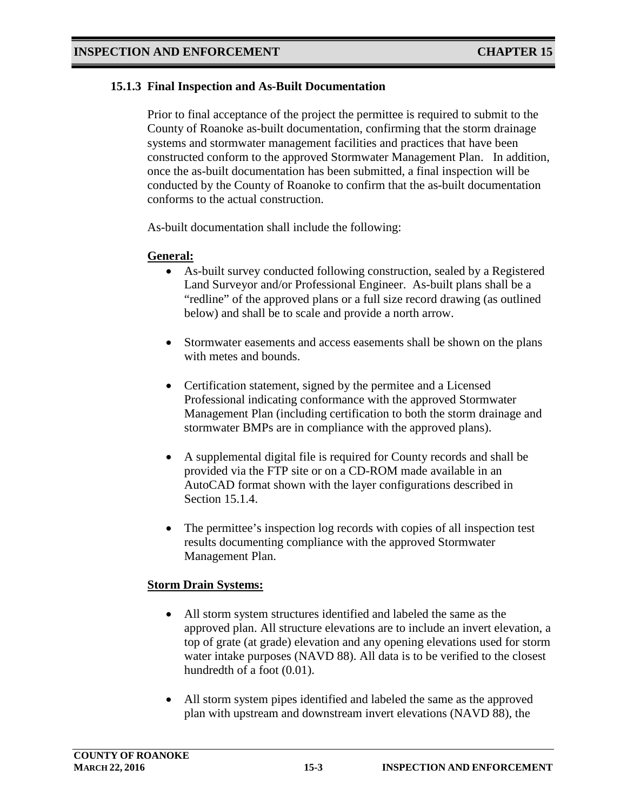### **15.1.3 Final Inspection and As-Built Documentation**

Prior to final acceptance of the project the permittee is required to submit to the County of Roanoke as-built documentation, confirming that the storm drainage systems and stormwater management facilities and practices that have been constructed conform to the approved Stormwater Management Plan. In addition, once the as-built documentation has been submitted, a final inspection will be conducted by the County of Roanoke to confirm that the as-built documentation conforms to the actual construction.

As-built documentation shall include the following:

#### **General:**

- As-built survey conducted following construction, sealed by a Registered Land Surveyor and/or Professional Engineer. As-built plans shall be a "redline" of the approved plans or a full size record drawing (as outlined below) and shall be to scale and provide a north arrow.
- Stormwater easements and access easements shall be shown on the plans with metes and bounds.
- Certification statement, signed by the permitee and a Licensed Professional indicating conformance with the approved Stormwater Management Plan (including certification to both the storm drainage and stormwater BMPs are in compliance with the approved plans).
- A supplemental digital file is required for County records and shall be provided via the FTP site or on a CD-ROM made available in an AutoCAD format shown with the layer configurations described in Section 15.1.4.
- The permittee's inspection log records with copies of all inspection test results documenting compliance with the approved Stormwater Management Plan.

#### **Storm Drain Systems:**

- All storm system structures identified and labeled the same as the approved plan. All structure elevations are to include an invert elevation, a top of grate (at grade) elevation and any opening elevations used for storm water intake purposes (NAVD 88). All data is to be verified to the closest hundredth of a foot (0.01).
- All storm system pipes identified and labeled the same as the approved plan with upstream and downstream invert elevations (NAVD 88), the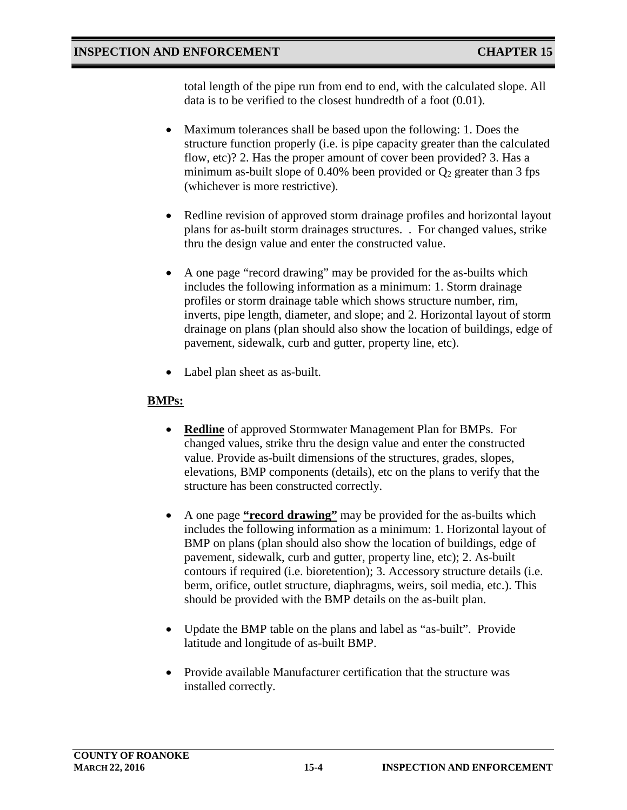total length of the pipe run from end to end, with the calculated slope. All data is to be verified to the closest hundredth of a foot (0.01).

- Maximum tolerances shall be based upon the following: 1. Does the structure function properly (i.e. is pipe capacity greater than the calculated flow, etc)? 2. Has the proper amount of cover been provided? 3. Has a minimum as-built slope of 0.40% been provided or  $Q_2$  greater than 3 fps (whichever is more restrictive).
- Redline revision of approved storm drainage profiles and horizontal layout plans for as-built storm drainages structures. . For changed values, strike thru the design value and enter the constructed value.
- A one page "record drawing" may be provided for the as-builts which includes the following information as a minimum: 1. Storm drainage profiles or storm drainage table which shows structure number, rim, inverts, pipe length, diameter, and slope; and 2. Horizontal layout of storm drainage on plans (plan should also show the location of buildings, edge of pavement, sidewalk, curb and gutter, property line, etc).
- Label plan sheet as as-built.

# **BMPs:**

- **Redline** of approved Stormwater Management Plan for BMPs. For changed values, strike thru the design value and enter the constructed value. Provide as-built dimensions of the structures, grades, slopes, elevations, BMP components (details), etc on the plans to verify that the structure has been constructed correctly.
- A one page **"record drawing"** may be provided for the as-builts which includes the following information as a minimum: 1. Horizontal layout of BMP on plans (plan should also show the location of buildings, edge of pavement, sidewalk, curb and gutter, property line, etc); 2. As-built contours if required (i.e. bioretention); 3. Accessory structure details (i.e. berm, orifice, outlet structure, diaphragms, weirs, soil media, etc.). This should be provided with the BMP details on the as-built plan.
- Update the BMP table on the plans and label as "as-built". Provide latitude and longitude of as-built BMP.
- Provide available Manufacturer certification that the structure was installed correctly.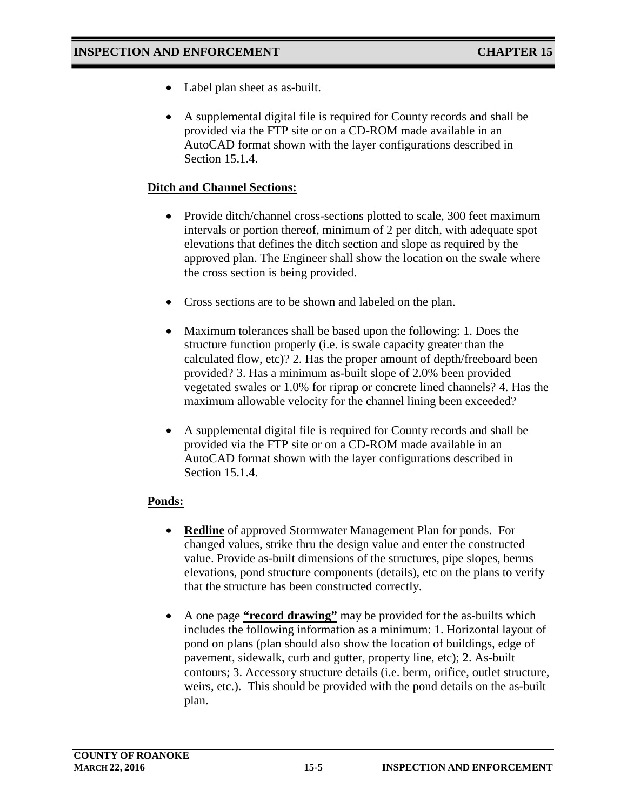- Label plan sheet as as-built.
- A supplemental digital file is required for County records and shall be provided via the FTP site or on a CD-ROM made available in an AutoCAD format shown with the layer configurations described in Section 15.1.4.

### **Ditch and Channel Sections:**

- Provide ditch/channel cross-sections plotted to scale, 300 feet maximum intervals or portion thereof, minimum of 2 per ditch, with adequate spot elevations that defines the ditch section and slope as required by the approved plan. The Engineer shall show the location on the swale where the cross section is being provided.
- Cross sections are to be shown and labeled on the plan.
- Maximum tolerances shall be based upon the following: 1. Does the structure function properly (i.e. is swale capacity greater than the calculated flow, etc)? 2. Has the proper amount of depth/freeboard been provided? 3. Has a minimum as-built slope of 2.0% been provided vegetated swales or 1.0% for riprap or concrete lined channels? 4. Has the maximum allowable velocity for the channel lining been exceeded?
- A supplemental digital file is required for County records and shall be provided via the FTP site or on a CD-ROM made available in an AutoCAD format shown with the layer configurations described in Section 15.1.4.

## **Ponds:**

- **Redline** of approved Stormwater Management Plan for ponds. For changed values, strike thru the design value and enter the constructed value. Provide as-built dimensions of the structures, pipe slopes, berms elevations, pond structure components (details), etc on the plans to verify that the structure has been constructed correctly.
- A one page **"record drawing"** may be provided for the as-builts which includes the following information as a minimum: 1. Horizontal layout of pond on plans (plan should also show the location of buildings, edge of pavement, sidewalk, curb and gutter, property line, etc); 2. As-built contours; 3. Accessory structure details (i.e. berm, orifice, outlet structure, weirs, etc.). This should be provided with the pond details on the as-built plan.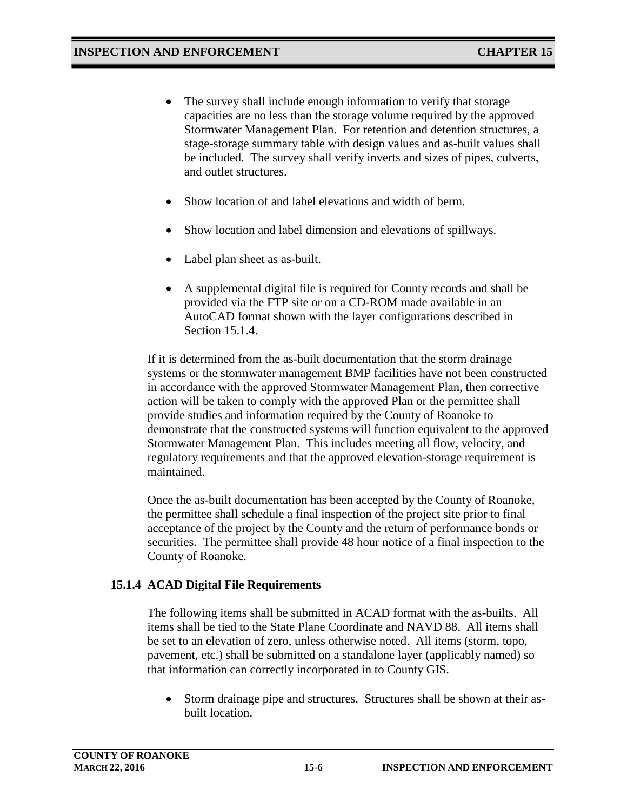- The survey shall include enough information to verify that storage capacities are no less than the storage volume required by the approved Stormwater Management Plan. For retention and detention structures, a stage-storage summary table with design values and as-built values shall be included. The survey shall verify inverts and sizes of pipes, culverts, and outlet structures.
- Show location of and label elevations and width of berm.
- Show location and label dimension and elevations of spillways.
- Label plan sheet as as-built.
- A supplemental digital file is required for County records and shall be provided via the FTP site or on a CD-ROM made available in an AutoCAD format shown with the layer configurations described in Section 15.1.4.

If it is determined from the as-built documentation that the storm drainage systems or the stormwater management BMP facilities have not been constructed in accordance with the approved Stormwater Management Plan, then corrective action will be taken to comply with the approved Plan or the permittee shall provide studies and information required by the County of Roanoke to demonstrate that the constructed systems will function equivalent to the approved Stormwater Management Plan. This includes meeting all flow, velocity, and regulatory requirements and that the approved elevation-storage requirement is maintained.

Once the as-built documentation has been accepted by the County of Roanoke, the permittee shall schedule a final inspection of the project site prior to final acceptance of the project by the County and the return of performance bonds or securities. The permittee shall provide 48 hour notice of a final inspection to the County of Roanoke.

## **15.1.4 ACAD Digital File Requirements**

The following items shall be submitted in ACAD format with the as-builts. All items shall be tied to the State Plane Coordinate and NAVD 88. All items shall be set to an elevation of zero, unless otherwise noted. All items (storm, topo, pavement, etc.) shall be submitted on a standalone layer (applicably named) so that information can correctly incorporated in to County GIS.

Storm drainage pipe and structures. Structures shall be shown at their asbuilt location.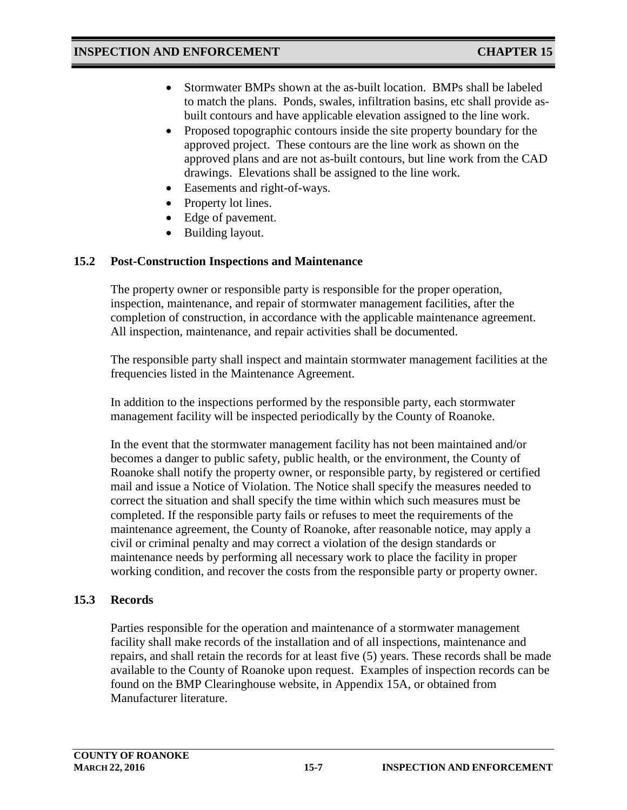- Stormwater BMPs shown at the as-built location. BMPs shall be labeled to match the plans. Ponds, swales, infiltration basins, etc shall provide asbuilt contours and have applicable elevation assigned to the line work.
- Proposed topographic contours inside the site property boundary for the approved project. These contours are the line work as shown on the approved plans and are not as-built contours, but line work from the CAD drawings. Elevations shall be assigned to the line work.
- Easements and right-of-ways.
- Property lot lines.
- Edge of pavement.
- Building layout.

## **15.2 Post-Construction Inspections and Maintenance**

The property owner or responsible party is responsible for the proper operation, inspection, maintenance, and repair of stormwater management facilities, after the completion of construction, in accordance with the applicable maintenance agreement. All inspection, maintenance, and repair activities shall be documented.

The responsible party shall inspect and maintain stormwater management facilities at the frequencies listed in the Maintenance Agreement.

In addition to the inspections performed by the responsible party, each stormwater management facility will be inspected periodically by the County of Roanoke.

In the event that the stormwater management facility has not been maintained and/or becomes a danger to public safety, public health, or the environment, the County of Roanoke shall notify the property owner, or responsible party, by registered or certified mail and issue a Notice of Violation. The Notice shall specify the measures needed to correct the situation and shall specify the time within which such measures must be completed. If the responsible party fails or refuses to meet the requirements of the maintenance agreement, the County of Roanoke, after reasonable notice, may apply a civil or criminal penalty and may correct a violation of the design standards or maintenance needs by performing all necessary work to place the facility in proper working condition, and recover the costs from the responsible party or property owner.

## **15.3 Records**

Parties responsible for the operation and maintenance of a stormwater management facility shall make records of the installation and of all inspections, maintenance and repairs, and shall retain the records for at least five (5) years. These records shall be made available to the County of Roanoke upon request. Examples of inspection records can be found on the BMP Clearinghouse website, in Appendix 15A, or obtained from Manufacturer literature.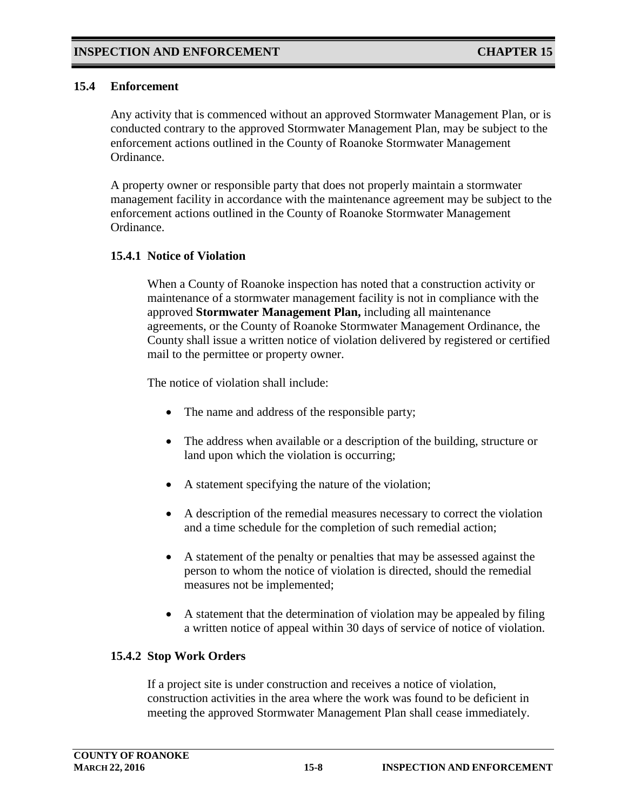#### **15.4 Enforcement**

Any activity that is commenced without an approved Stormwater Management Plan, or is conducted contrary to the approved Stormwater Management Plan, may be subject to the enforcement actions outlined in the County of Roanoke Stormwater Management Ordinance.

A property owner or responsible party that does not properly maintain a stormwater management facility in accordance with the maintenance agreement may be subject to the enforcement actions outlined in the County of Roanoke Stormwater Management Ordinance.

#### **15.4.1 Notice of Violation**

When a County of Roanoke inspection has noted that a construction activity or maintenance of a stormwater management facility is not in compliance with the approved **Stormwater Management Plan,** including all maintenance agreements, or the County of Roanoke Stormwater Management Ordinance, the County shall issue a written notice of violation delivered by registered or certified mail to the permittee or property owner.

The notice of violation shall include:

- The name and address of the responsible party;
- The address when available or a description of the building, structure or land upon which the violation is occurring;
- A statement specifying the nature of the violation;
- A description of the remedial measures necessary to correct the violation and a time schedule for the completion of such remedial action;
- A statement of the penalty or penalties that may be assessed against the person to whom the notice of violation is directed, should the remedial measures not be implemented;
- A statement that the determination of violation may be appealed by filing a written notice of appeal within 30 days of service of notice of violation.

## **15.4.2 Stop Work Orders**

If a project site is under construction and receives a notice of violation, construction activities in the area where the work was found to be deficient in meeting the approved Stormwater Management Plan shall cease immediately.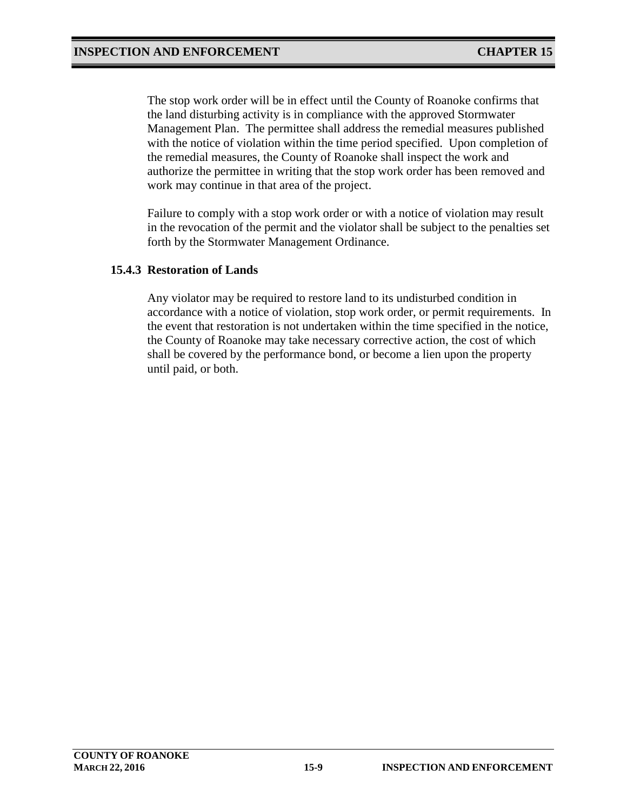The stop work order will be in effect until the County of Roanoke confirms that the land disturbing activity is in compliance with the approved Stormwater Management Plan. The permittee shall address the remedial measures published with the notice of violation within the time period specified. Upon completion of the remedial measures, the County of Roanoke shall inspect the work and authorize the permittee in writing that the stop work order has been removed and work may continue in that area of the project.

Failure to comply with a stop work order or with a notice of violation may result in the revocation of the permit and the violator shall be subject to the penalties set forth by the Stormwater Management Ordinance.

#### **15.4.3 Restoration of Lands**

Any violator may be required to restore land to its undisturbed condition in accordance with a notice of violation, stop work order, or permit requirements. In the event that restoration is not undertaken within the time specified in the notice, the County of Roanoke may take necessary corrective action, the cost of which shall be covered by the performance bond, or become a lien upon the property until paid, or both.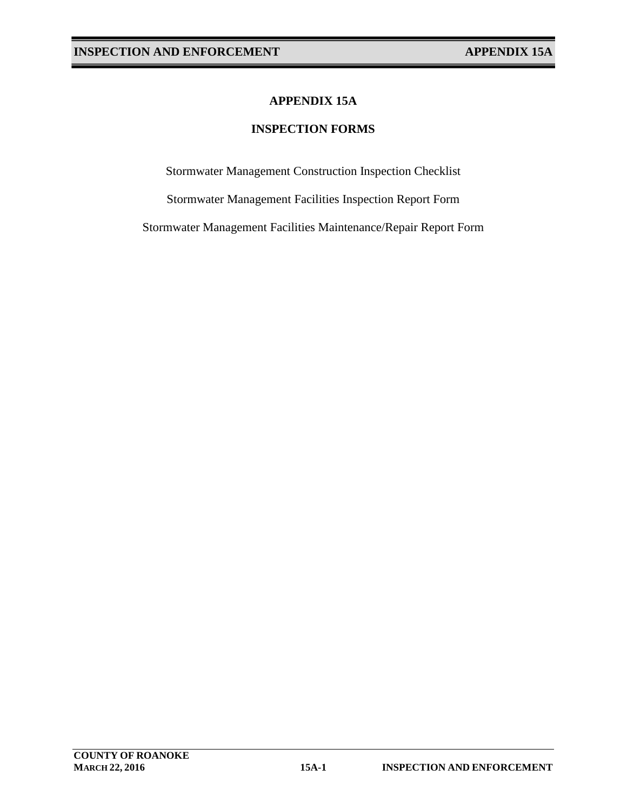## **APPENDIX 15A**

### **INSPECTION FORMS**

Stormwater Management Construction Inspection Checklist

Stormwater Management Facilities Inspection Report Form

Stormwater Management Facilities Maintenance/Repair Report Form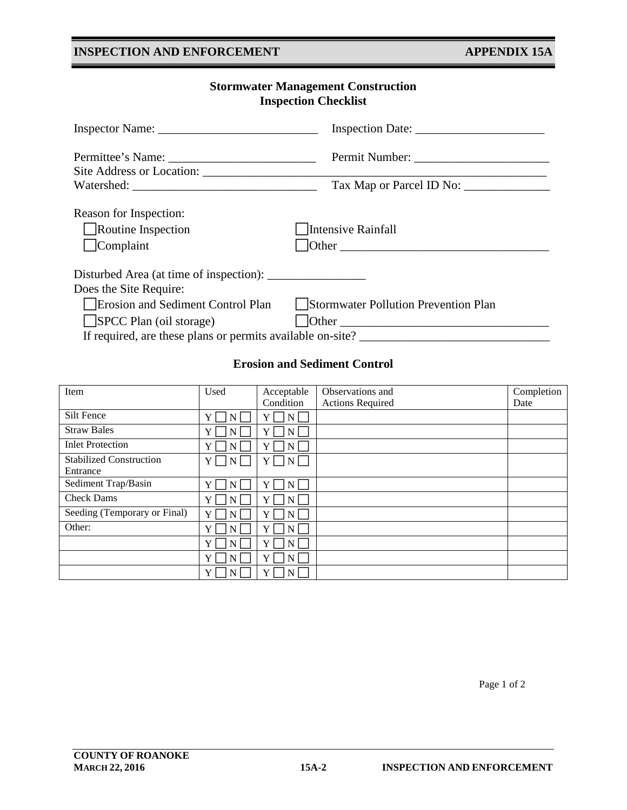# **COUNTY OF ROANOKE**

## **INSPECTION AND ENFORCEMENT APPENDIX 15A**

# **Stormwater Management Construction Inspection Checklist**

|                                                           | Tax Map or Parcel ID No:                                   |
|-----------------------------------------------------------|------------------------------------------------------------|
| Reason for Inspection:<br>Routine Inspection<br>Complaint | Intensive Rainfall<br>$\lvert$ Other                       |
|                                                           |                                                            |
| Does the Site Require:                                    |                                                            |
| Erosion and Sediment Control Plan                         | Stormwater Pollution Prevention Plan                       |
| SPCC Plan (oil storage)                                   | $\Box$ Other                                               |
|                                                           | If required, are these plans or permits available on-site? |

#### **Erosion and Sediment Control**

| Item                                       | Used                          | Acceptable                         | Observations and        | Completion |
|--------------------------------------------|-------------------------------|------------------------------------|-------------------------|------------|
|                                            |                               | Condition                          | <b>Actions Required</b> | Date       |
| Silt Fence                                 | $Y_{\perp}$<br>N              | Y<br>N                             |                         |            |
| <b>Straw Bales</b>                         | Y <sub>1</sub><br>N           | Y<br>N                             |                         |            |
| <b>Inlet Protection</b>                    | $Y_{\perp}$<br>N              | Y<br>N                             |                         |            |
| <b>Stabilized Construction</b><br>Entrance | Y <sub>1</sub><br>$\mathbf N$ | $\lfloor N \rfloor$<br>$Y_{\perp}$ |                         |            |
| Sediment Trap/Basin                        | Y<br>N                        | Y<br>N                             |                         |            |
| <b>Check Dams</b>                          | Y <sub>1</sub><br>N           | Y<br>N                             |                         |            |
| Seeding (Temporary or Final)               | Y<br>N                        | Y<br>N                             |                         |            |
| Other:                                     | $Y_{\perp}$<br>N              | Y<br>N                             |                         |            |
|                                            | $Y_1$<br>$\mathbf N$          | Y<br>N                             |                         |            |
|                                            | $Y_{\perp}$<br>N              | Y<br>N                             |                         |            |
|                                            | Y <sub>1</sub><br>$N \mid$    | Y<br>$\mathbf{N}$                  |                         |            |

Page 1 of 2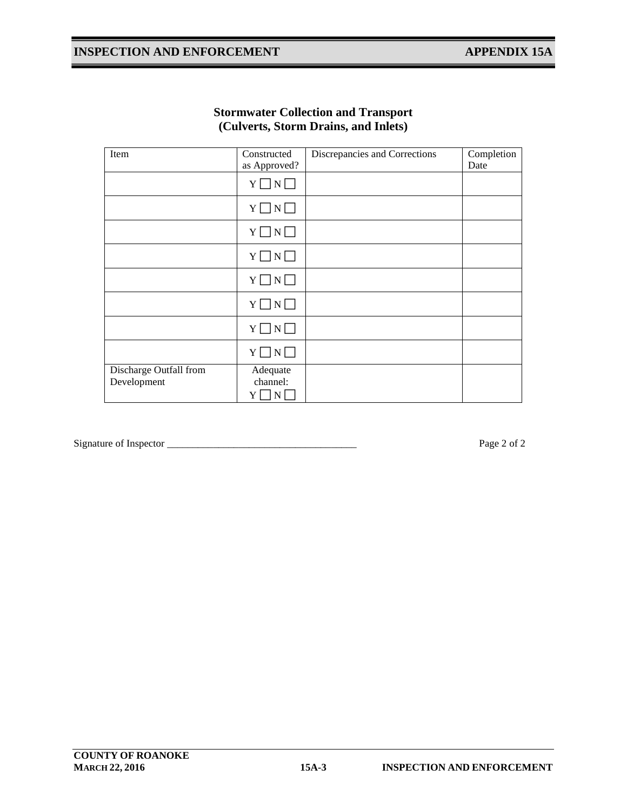# **INSPECTION AND ENFORCEMENT APPENDIX 15A**

| Item                   | Discrepancies and Corrections<br>Constructed |  | Completion |
|------------------------|----------------------------------------------|--|------------|
|                        | as Approved?                                 |  | Date       |
|                        | $Y \square N \square$                        |  |            |
|                        | $Y \square N \square$                        |  |            |
|                        | $Y \square N \square$                        |  |            |
|                        | $Y \square N \square$                        |  |            |
|                        | $Y \square N \square$                        |  |            |
|                        | $Y \square N \square$                        |  |            |
|                        | $Y \square N \square$                        |  |            |
|                        | $Y \square N \square$                        |  |            |
| Discharge Outfall from | Adequate                                     |  |            |
| Development            | channel:                                     |  |            |
|                        | $\rm Y \bigsqcup \rm N \bigsqcup$            |  |            |

#### **Stormwater Collection and Transport (Culverts, Storm Drains, and Inlets)**

Signature of Inspector \_\_\_\_\_\_\_\_\_\_\_\_\_\_\_\_\_\_\_\_\_\_\_\_\_\_\_\_\_\_\_\_\_\_\_\_\_ Page 2 of 2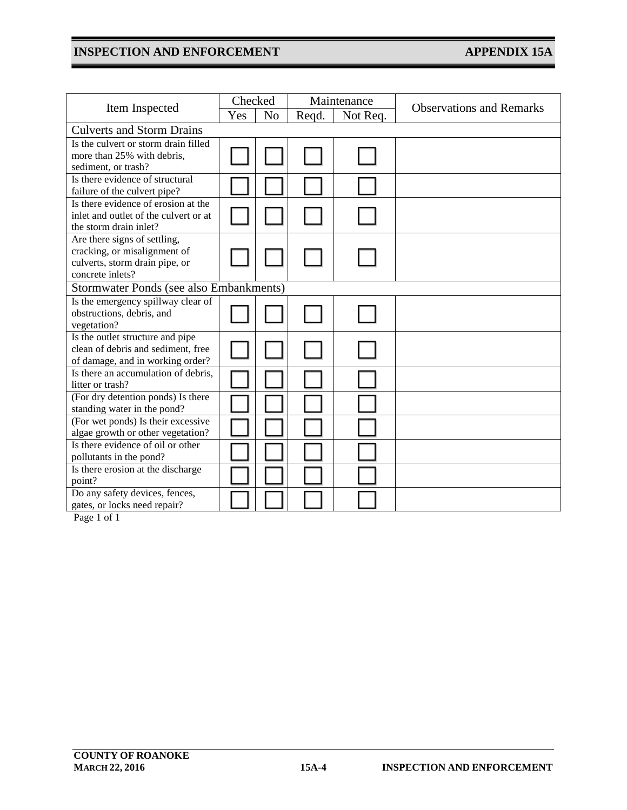# **INSPECTION AND ENFORCEMENT APPENDIX 15A**

|                                                                              | Checked |                | Maintenance |          |                                 |  |  |  |
|------------------------------------------------------------------------------|---------|----------------|-------------|----------|---------------------------------|--|--|--|
| Item Inspected                                                               | Yes     | N <sub>o</sub> | Reqd.       | Not Req. | <b>Observations and Remarks</b> |  |  |  |
| <b>Culverts and Storm Drains</b>                                             |         |                |             |          |                                 |  |  |  |
| Is the culvert or storm drain filled                                         |         |                |             |          |                                 |  |  |  |
| more than 25% with debris,                                                   |         |                |             |          |                                 |  |  |  |
| sediment, or trash?                                                          |         |                |             |          |                                 |  |  |  |
| Is there evidence of structural                                              |         |                |             |          |                                 |  |  |  |
| failure of the culvert pipe?                                                 |         |                |             |          |                                 |  |  |  |
| Is there evidence of erosion at the<br>inlet and outlet of the culvert or at |         |                |             |          |                                 |  |  |  |
| the storm drain inlet?                                                       |         |                |             |          |                                 |  |  |  |
| Are there signs of settling,                                                 |         |                |             |          |                                 |  |  |  |
| cracking, or misalignment of                                                 |         |                |             |          |                                 |  |  |  |
| culverts, storm drain pipe, or                                               |         |                |             |          |                                 |  |  |  |
| concrete inlets?                                                             |         |                |             |          |                                 |  |  |  |
| Stormwater Ponds (see also Embankments)                                      |         |                |             |          |                                 |  |  |  |
| Is the emergency spillway clear of                                           |         |                |             |          |                                 |  |  |  |
| obstructions, debris, and                                                    |         |                |             |          |                                 |  |  |  |
| vegetation?                                                                  |         |                |             |          |                                 |  |  |  |
| Is the outlet structure and pipe                                             |         |                |             |          |                                 |  |  |  |
| clean of debris and sediment, free                                           |         |                |             |          |                                 |  |  |  |
| of damage, and in working order?<br>Is there an accumulation of debris,      |         |                |             |          |                                 |  |  |  |
| litter or trash?                                                             |         |                |             |          |                                 |  |  |  |
| (For dry detention ponds) Is there                                           |         |                |             |          |                                 |  |  |  |
| standing water in the pond?                                                  |         |                |             |          |                                 |  |  |  |
| (For wet ponds) Is their excessive                                           |         |                |             |          |                                 |  |  |  |
| algae growth or other vegetation?                                            |         |                |             |          |                                 |  |  |  |
| Is there evidence of oil or other                                            |         |                |             |          |                                 |  |  |  |
| pollutants in the pond?                                                      |         |                |             |          |                                 |  |  |  |
| Is there erosion at the discharge                                            |         |                |             |          |                                 |  |  |  |
| point?                                                                       |         |                |             |          |                                 |  |  |  |
| Do any safety devices, fences,<br>gates, or locks need repair?               |         |                |             |          |                                 |  |  |  |
|                                                                              |         |                |             |          |                                 |  |  |  |

Page 1 of 1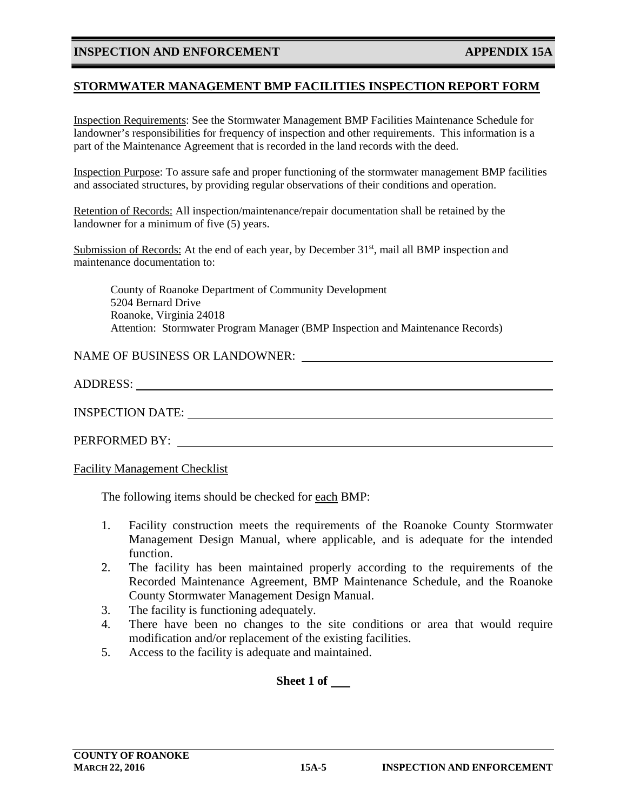#### **INSPECTION AND ENFORCEMENT APPENDIX 15A**

#### **STORMWATER MANAGEMENT BMP FACILITIES INSPECTION REPORT FORM**

Inspection Requirements: See the Stormwater Management BMP Facilities Maintenance Schedule for landowner's responsibilities for frequency of inspection and other requirements. This information is a part of the Maintenance Agreement that is recorded in the land records with the deed.

Inspection Purpose: To assure safe and proper functioning of the stormwater management BMP facilities and associated structures, by providing regular observations of their conditions and operation.

Retention of Records: All inspection/maintenance/repair documentation shall be retained by the landowner for a minimum of five (5) years.

Submission of Records: At the end of each year, by December  $31<sup>st</sup>$ , mail all BMP inspection and maintenance documentation to:

County of Roanoke Department of Community Development 5204 Bernard Drive Roanoke, Virginia 24018 Attention: Stormwater Program Manager (BMP Inspection and Maintenance Records)

#### NAME OF BUSINESS OR LANDOWNER:

ADDRESS:

INSPECTION DATE:

PERFORMED BY:

Facility Management Checklist

The following items should be checked for each BMP:

- 1. Facility construction meets the requirements of the Roanoke County Stormwater Management Design Manual, where applicable, and is adequate for the intended function.
- 2. The facility has been maintained properly according to the requirements of the Recorded Maintenance Agreement, BMP Maintenance Schedule, and the Roanoke County Stormwater Management Design Manual.
- 3. The facility is functioning adequately.
- 4. There have been no changes to the site conditions or area that would require modification and/or replacement of the existing facilities.
- 5. Access to the facility is adequate and maintained.

**Sheet 1 of**